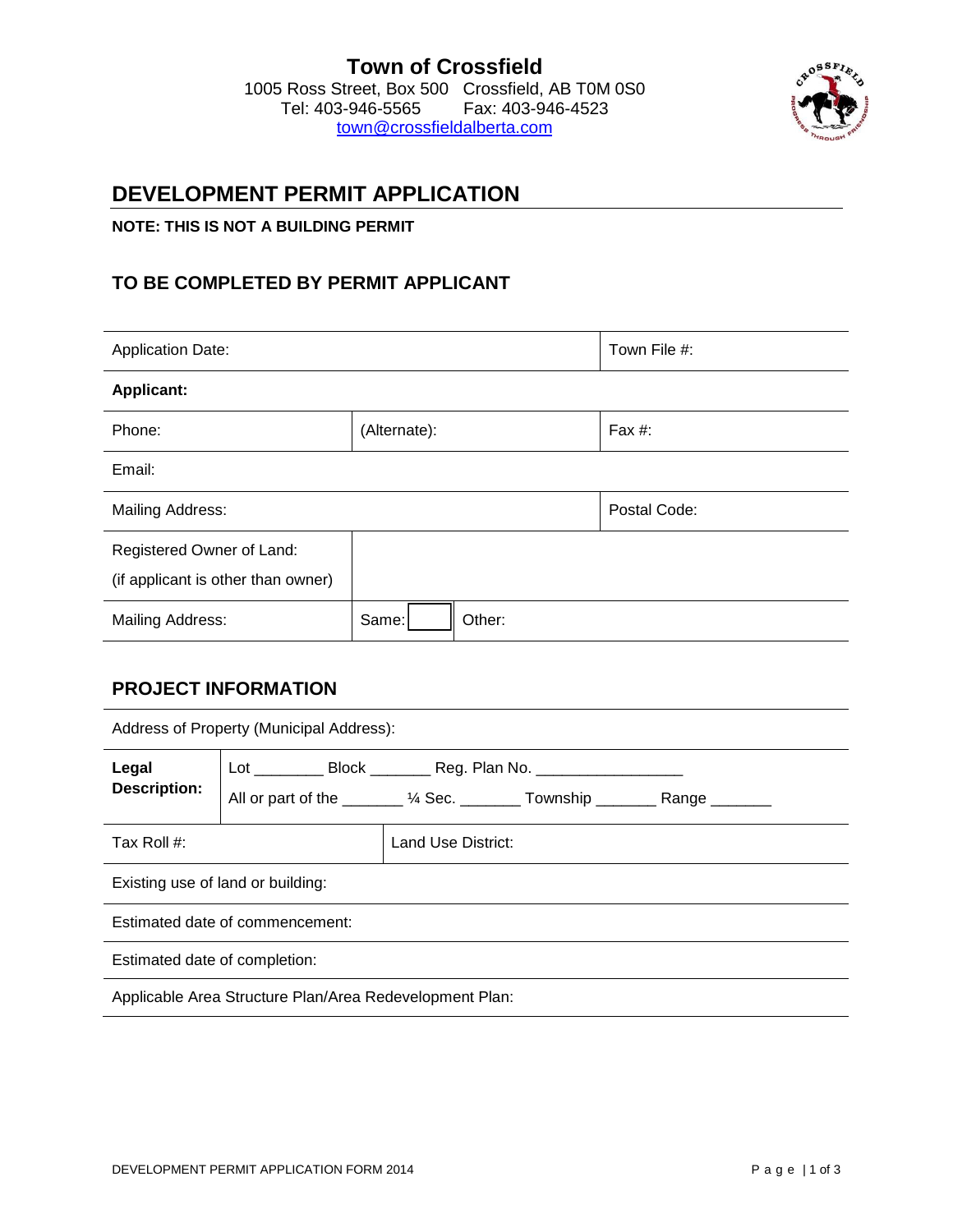#### **Town of Crossfield**  1005 Ross Street, Box 500 Crossfield, AB T0M 0S0 Tel: 403-946-5565 town@cr[ossfieldalberta.com](mailto:town@crossfieldalberta.com)

## **DEVELOPMENT PERMIT APPLICATION**

#### **NOTE: THIS IS NOT A BUILDING PERMIT**

## **TO BE COMPLETED BY PERMIT APPLICANT**

| <b>Application Date:</b>                                        |                 | Town File #: |  |  |  |  |
|-----------------------------------------------------------------|-----------------|--------------|--|--|--|--|
| <b>Applicant:</b>                                               |                 |              |  |  |  |  |
| Phone:                                                          | (Alternate):    | Fax #:       |  |  |  |  |
| Email:                                                          |                 |              |  |  |  |  |
| Mailing Address:                                                |                 | Postal Code: |  |  |  |  |
| Registered Owner of Land:<br>(if applicant is other than owner) |                 |              |  |  |  |  |
| <b>Mailing Address:</b>                                         | Other:<br>Same: |              |  |  |  |  |

## **PROJECT INFORMATION**

| Address of Property (Municipal Address):                |                                                                                                                                                                  |                    |  |  |  |
|---------------------------------------------------------|------------------------------------------------------------------------------------------------------------------------------------------------------------------|--------------------|--|--|--|
| Legal<br><b>Description:</b>                            | Lot ____________ Block __________ Reg. Plan No. ________________________________<br>All or part of the _______ 1/4 Sec. ________ Township ________ Range _______ |                    |  |  |  |
| Tax Roll $#$ :                                          |                                                                                                                                                                  | Land Use District: |  |  |  |
| Existing use of land or building:                       |                                                                                                                                                                  |                    |  |  |  |
| Estimated date of commencement:                         |                                                                                                                                                                  |                    |  |  |  |
| Estimated date of completion:                           |                                                                                                                                                                  |                    |  |  |  |
| Applicable Area Structure Plan/Area Redevelopment Plan: |                                                                                                                                                                  |                    |  |  |  |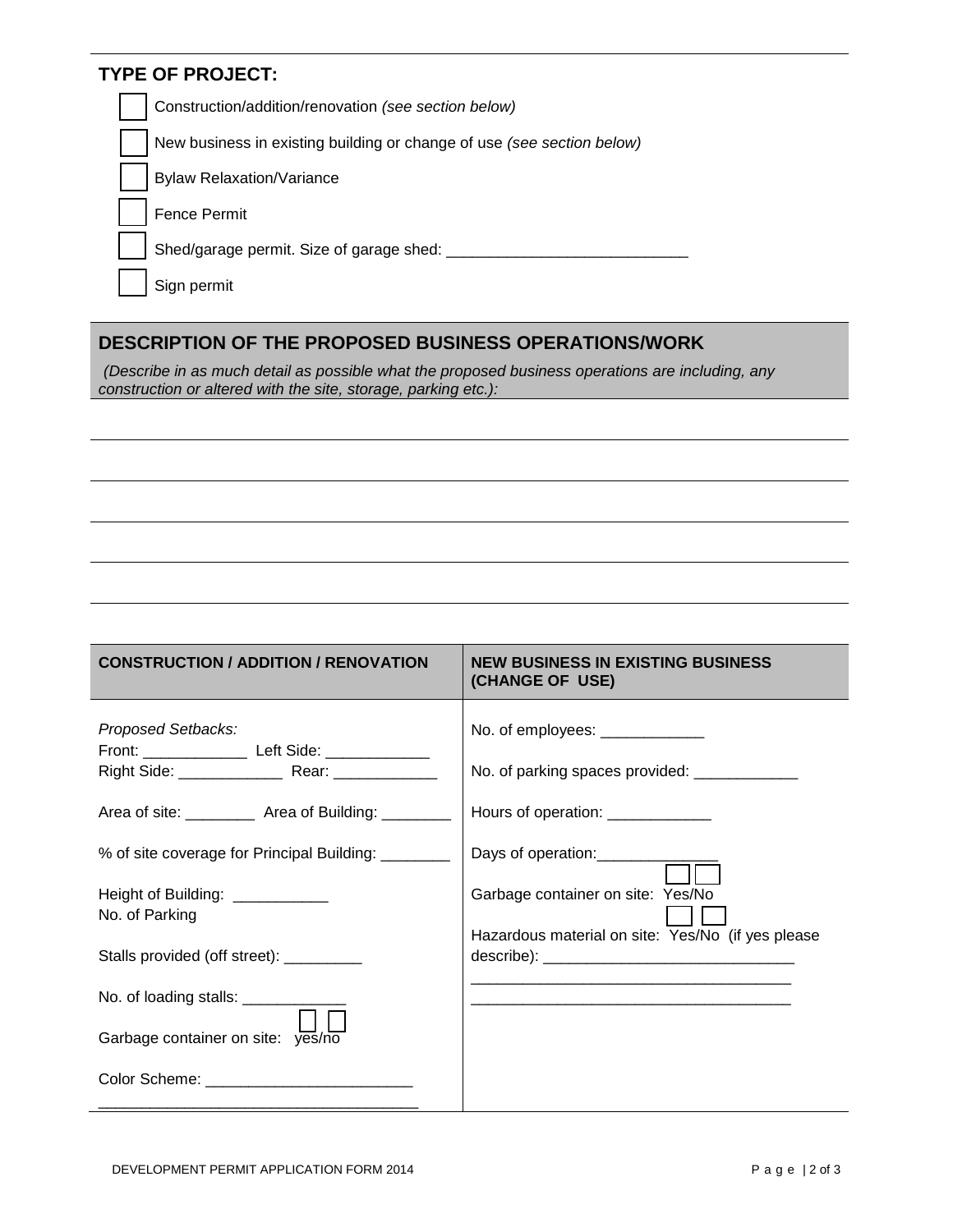## **TYPE OF PROJECT:**

Construction/addition/renovation *(see section below)*

New business in existing building or change of use *(see section below)*

Bylaw Relaxation/Variance

Fence Permit

Shed/garage permit. Size of garage shed: \_\_\_\_\_\_\_\_\_\_\_\_\_\_\_\_\_\_\_\_\_\_\_\_\_\_\_\_

Sign permit

## **DESCRIPTION OF THE PROPOSED BUSINESS OPERATIONS/WORK**

*(Describe in as much detail as possible what the proposed business operations are including, any construction or altered with the site, storage, parking etc.):*

# **CONSTRUCTION / ADDITION / RENOVATION NEW BUSINESS IN EXISTING BUSINESS (CHANGE OF USE)**

| Proposed Setbacks:<br>Front: _______________ Left Side: _____________ | No. of employees: _____________<br>No. of parking spaces provided: _____________ |
|-----------------------------------------------------------------------|----------------------------------------------------------------------------------|
| Area of site: ____________ Area of Building: _________                | Hours of operation: _____________                                                |
| % of site coverage for Principal Building: ________                   | Days of operation: <u>_________________</u>                                      |
| Height of Building: ____________<br>No. of Parking                    | Garbage container on site: Yes/No                                                |
| Stalls provided (off street): __________                              | Hazardous material on site: Yes/No (if yes please                                |
| No. of loading stalls: ___________                                    |                                                                                  |
| Garbage container on site: yes/no                                     |                                                                                  |
| Color Scheme: ______________________________                          |                                                                                  |